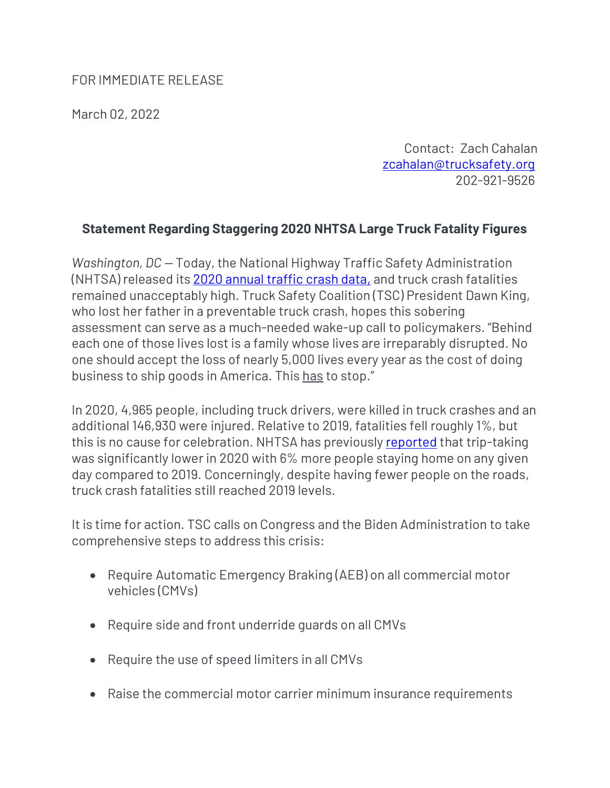## FOR IMMEDIATE RELEASE

March 02, 2022

Contact: Zach Cahalan [zcahalan@trucksafety.org](mailto:zcahalan@trucksafety.org) 202-921-9526

## **Statement Regarding Staggering 2020 NHTSA Large Truck Fatality Figures**

*Washington, DC —* Today, the National Highway Traffic Safety Administration (NHTSA) released its [2020 annual traffic crash data,](https://crashstats.nhtsa.dot.gov/Api/Public/ViewPublication/813266) and truck crash fatalities remained unacceptably high. Truck Safety Coalition (TSC) President Dawn King, who lost her father in a preventable truck crash, hopes this sobering assessment can serve as a much-needed wake-up call to policymakers. "Behind each one of those lives lost is a family whose lives are irreparably disrupted. No one should accept the loss of nearly 5,000 lives every year as the cost of doing business to ship goods in America. This has to stop."

In 2020, 4,965 people, including truck drivers, were killed in truck crashes and an additional 146,930 were injured. Relative to 2019, fatalities fell roughly 1%, but this is no cause for celebration. NHTSA has previously [reported](https://www.nhtsa.gov/sites/nhtsa.gov/files/2021-06/Update_Traffic%20Safety%20During%20COVID-19_4thQtr-060121-web.pdf) that trip-taking was significantly lower in 2020 with 6% more people staying home on any given day compared to 2019. Concerningly, despite having fewer people on the roads, truck crash fatalities still reached 2019 levels.

It is time for action. TSC calls on Congress and the Biden Administration to take comprehensive steps to address this crisis:

- Require Automatic Emergency Braking (AEB) on all commercial motor vehicles (CMVs)
- Require side and front underride guards on all CMVs
- Require the use of speed limiters in all CMVs
- Raise the commercial motor carrier minimum insurance requirements